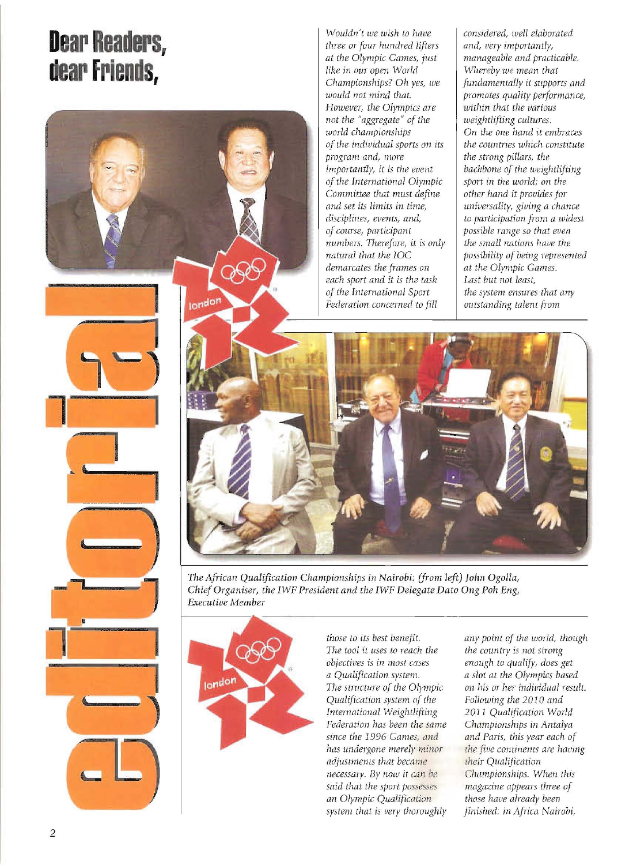## **Dear Readers, dear Friends,**

1

london

**I** 

**'J** 

**I** ---

**,** 

**--''''---**

:---~

*not the "aggregate" of the world championships of the individual sports on its program and, more importantly,* it *is the event of the International Olympic Committee that must define and set its limits in time, disciplines, events, and, of course, participant numbers. Therefore, it is only natural that the IOC demarcates the frames on each sport and it is the task of the [nternational Sport Federation concerned to fill Wouldn't we wish* to *have three or four hundred lifters at the Olympic Games, just like* in *our open World Championships? Oh yes, we would not mind that. However, the Olympics are* 

*weightlifting cultures. On the one hand it embraces the countries which constitute the strong pillars, the backbone of the weightlifting sport* in *the world; on the other hand it provides for universality, giving a chance to participation from a widesL possible range so that even the small nations have the possibility of being represented at the Olympic Games. Last but not least, the system ensures that any outstanding talent from considered, well elaborated and, very importantly, manageable and practicable. Whereby we mean that fundamentally* it *supports and promotes quality performance, within that the various* 



*The Aj1'ican Qualification Championships in Nairobi: (from left) John Ogolla, Chief Organiser, the IWF President and the IWF Delegate Dato Ong Poh Eng, Executive Member* 



*those to its best benefit. The tool* iL *uses to reach the objectives is in most cases a Qualification system. The structure of the Olympic Qualification system of the International Weightlifting Federation has been the same since the* 1996 *Games, and has undergone merely minor adjustments that became necessary.* By *now it can he said that the sport possesses an Olympic Qualijication system that* is *very thoroughly*  *any point of the world, though the country is not strong enough to qualify, does get a slot at the Olympics based on his or her individual result. Following the* 2010 *and*  2011 *Qualijication World Championships in Antalya and Paris, this year each of the live continents are having their Qualification Championships. When this magazine appears three of those have already been finished; in Africa Nairobi,*